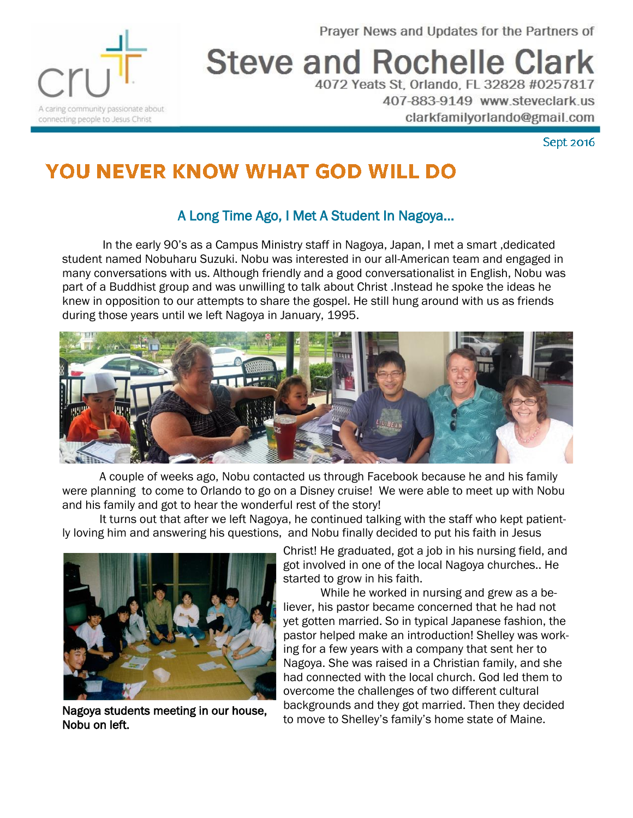Prayer News and Updates for the Partners of



# **Steve and Rochelle Clark**

4072 Yeats St, Orlando, FL 32828 #0257817 407-883-9149 www.steveclark.us clarkfamilyorlando@gmail.com

Sept 2016

# **YOU NEVER KNOW WHAT GOD WILL DO**

## A Long Time Ago, I Met A Student In Nagoya...

In the early 90's as a Campus Ministry staff in Nagoya, Japan, I met a smart ,dedicated student named Nobuharu Suzuki. Nobu was interested in our all-American team and engaged in many conversations with us. Although friendly and a good conversationalist in English, Nobu was part of a Buddhist group and was unwilling to talk about Christ .Instead he spoke the ideas he knew in opposition to our attempts to share the gospel. He still hung around with us as friends during those years until we left Nagoya in January, 1995.



A couple of weeks ago, Nobu contacted us through Facebook because he and his family were planning to come to Orlando to go on a Disney cruise! We were able to meet up with Nobu and his family and got to hear the wonderful rest of the story!

It turns out that after we left Nagoya, he continued talking with the staff who kept patiently loving him and answering his questions, and Nobu finally decided to put his faith in Jesus



Nagoya students meeting in our house, Nobu on left.

Christ! He graduated, got a job in his nursing field, and got involved in one of the local Nagoya churches.. He started to grow in his faith.

While he worked in nursing and grew as a believer, his pastor became concerned that he had not yet gotten married. So in typical Japanese fashion, the pastor helped make an introduction! Shelley was working for a few years with a company that sent her to Nagoya. She was raised in a Christian family, and she had connected with the local church. God led them to overcome the challenges of two different cultural backgrounds and they got married. Then they decided to move to Shelley's family's home state of Maine.